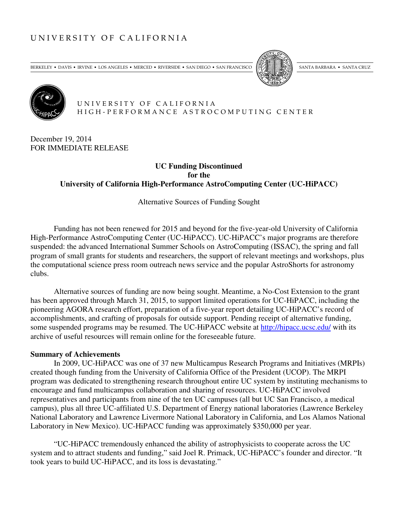# UNIVERSITY OF CALIFORNIA

BERKELEY • DAVIS • IRVINE • LOS ANGELES • MERCED • RIVERSIDE • SAN DIEGO • SAN FRANCISCO [5]





 U N I V E R S I T Y O F C A L I F O R N I A H I G H - P E R F O R M A N C E A S T R O C O M P U T I N G C E N T E R

December 19, 2014 FOR IMMEDIATE RELEASE

## **UC Funding Discontinued for the University of California High-Performance AstroComputing Center (UC-HiPACC)**

Alternative Sources of Funding Sought

Funding has not been renewed for 2015 and beyond for the five-year-old University of California High-Performance AstroComputing Center (UC-HiPACC). UC-HiPACC's major programs are therefore suspended: the advanced International Summer Schools on AstroComputing (ISSAC), the spring and fall program of small grants for students and researchers, the support of relevant meetings and workshops, plus the computational science press room outreach news service and the popular AstroShorts for astronomy clubs.

Alternative sources of funding are now being sought. Meantime, a No-Cost Extension to the grant has been approved through March 31, 2015, to support limited operations for UC-HiPACC, including the pioneering AGORA research effort, preparation of a five-year report detailing UC-HiPACC's record of accomplishments, and crafting of proposals for outside support. Pending receipt of alternative funding, some suspended programs may be resumed. The UC-HiPACC website at http://hipacc.ucsc.edu/ with its archive of useful resources will remain online for the foreseeable future.

#### **Summary of Achievements**

 In 2009, UC-HiPACC was one of 37 new Multicampus Research Programs and Initiatives (MRPIs) created though funding from the University of California Office of the President (UCOP). The MRPI program was dedicated to strengthening research throughout entire UC system by instituting mechanisms to encourage and fund multicampus collaboration and sharing of resources. UC-HiPACC involved representatives and participants from nine of the ten UC campuses (all but UC San Francisco, a medical campus), plus all three UC-affiliated U.S. Department of Energy national laboratories (Lawrence Berkeley National Laboratory and Lawrence Livermore National Laboratory in California, and Los Alamos National Laboratory in New Mexico). UC-HiPACC funding was approximately \$350,000 per year.

"UC-HiPACC tremendously enhanced the ability of astrophysicists to cooperate across the UC system and to attract students and funding," said Joel R. Primack, UC-HiPACC's founder and director. "It took years to build UC-HiPACC, and its loss is devastating."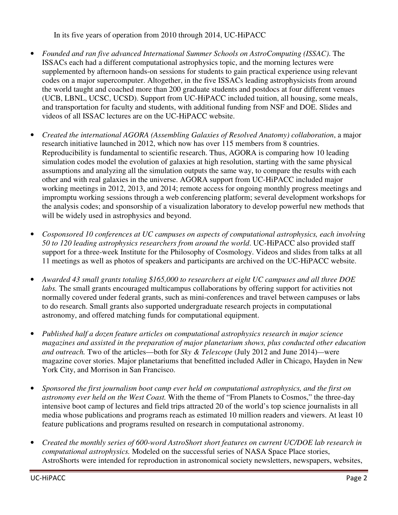In its five years of operation from 2010 through 2014, UC-HiPACC

- *Founded and ran five advanced International Summer Schools on AstroComputing (ISSAC)*. The ISSACs each had a different computational astrophysics topic, and the morning lectures were supplemented by afternoon hands-on sessions for students to gain practical experience using relevant codes on a major supercomputer. Altogether, in the five ISSACs leading astrophysicists from around the world taught and coached more than 200 graduate students and postdocs at four different venues (UCB, LBNL, UCSC, UCSD). Support from UC-HiPACC included tuition, all housing, some meals, and transportation for faculty and students, with additional funding from NSF and DOE. Slides and videos of all ISSAC lectures are on the UC-HiPACC website.
- *Created the international AGORA (Assembling Galaxies of Resolved Anatomy) collaboration*, a major research initiative launched in 2012, which now has over 115 members from 8 countries. Reproducibility is fundamental to scientific research. Thus, AGORA is comparing how 10 leading simulation codes model the evolution of galaxies at high resolution, starting with the same physical assumptions and analyzing all the simulation outputs the same way, to compare the results with each other and with real galaxies in the universe. AGORA support from UC-HiPACC included major working meetings in 2012, 2013, and 2014; remote access for ongoing monthly progress meetings and impromptu working sessions through a web conferencing platform; several development workshops for the analysis codes; and sponsorship of a visualization laboratory to develop powerful new methods that will be widely used in astrophysics and beyond.
- *Cosponsored 10 conferences at UC campuses on aspects of computational astrophysics, each involving 50 to 120 leading astrophysics researchers from around the world*. UC-HiPACC also provided staff support for a three-week Institute for the Philosophy of Cosmology. Videos and slides from talks at all 11 meetings as well as photos of speakers and participants are archived on the UC-HiPACC website.
- *Awarded 43 small grants totaling \$165,000 to researchers at eight UC campuses and all three DOE labs.* The small grants encouraged multicampus collaborations by offering support for activities not normally covered under federal grants, such as mini-conferences and travel between campuses or labs to do research. Small grants also supported undergraduate research projects in computational astronomy, and offered matching funds for computational equipment.
- *Published half a dozen feature articles on computational astrophysics research in major science magazines and assisted in the preparation of major planetarium shows, plus conducted other education and outreach.* Two of the articles—both for *Sky & Telescope* (July 2012 and June 2014)*—*were magazine cover stories. Major planetariums that benefitted included Adler in Chicago, Hayden in New York City, and Morrison in San Francisco.
- *Sponsored the first journalism boot camp ever held on computational astrophysics, and the first on astronomy ever held on the West Coast.* With the theme of "From Planets to Cosmos," the three-day intensive boot camp of lectures and field trips attracted 20 of the world's top science journalists in all media whose publications and programs reach as estimated 10 million readers and viewers. At least 10 feature publications and programs resulted on research in computational astronomy.
- *Created the monthly series of 600-word AstroShort short features on current UC/DOE lab research in computational astrophysics.* Modeled on the successful series of NASA Space Place stories, AstroShorts were intended for reproduction in astronomical society newsletters, newspapers, websites,